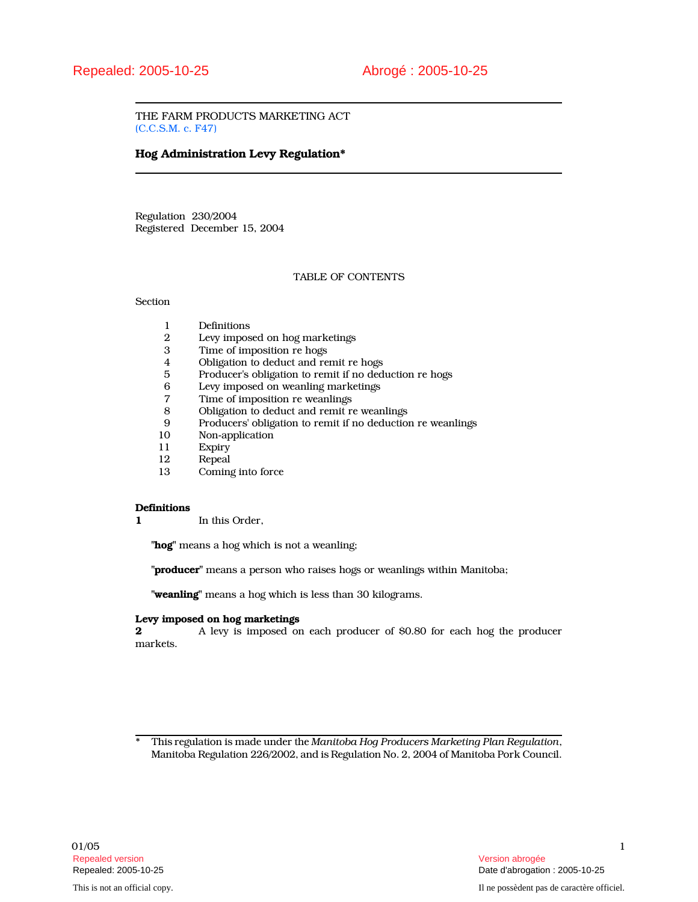THE FARM PRODUCTS MARKETING ACT (C.C.S.M. c. F47)

# Hog Administration Levy Regulation\*

Regulation 230/2004 Registered December 15, 2004

## TABLE OF CONTENTS

# Section

- 1 Definitions<br>2 Levy impos
- 2 Levy imposed on hog marketings<br>3 Time of imposition re hogs
- 3 Time of imposition re hogs
- 4 Obligation to deduct and remit re hogs
- 5 Producer's obligation to remit if no deduction re hogs
- 6 Levy imposed on weanling marketings
- 7 Time of imposition re weanlings<br>8 Obligation to deduct and remit re
- 8 Obligation to deduct and remit re weanlings
- 9 Producers' obligation to remit if no deduction re weanlings
- 10 Non-application
- 11 Expiry<br>12 Repeal
- 12 Repeal<br>13 Coming
- Coming into force

## **Definitions**

1 In this Order,

"hog" means a hog which is not a weanling;

"producer" means a person who raises hogs or weanlings within Manitoba;

"weanling" means a hog which is less than 30 kilograms.

# Levy imposed on hog marketings  $2 \nightharpoonup$  A levy is imposed on

2 A levy is imposed on each producer of \$0.80 for each hog the producer markets.

<sup>\*</sup> This regulation is made under the Manitoba Hog Producers Marketing Plan Regulation, Manitoba Regulation 226/2002, and is Regulation No. 2, 2004 of Manitoba Pork Council.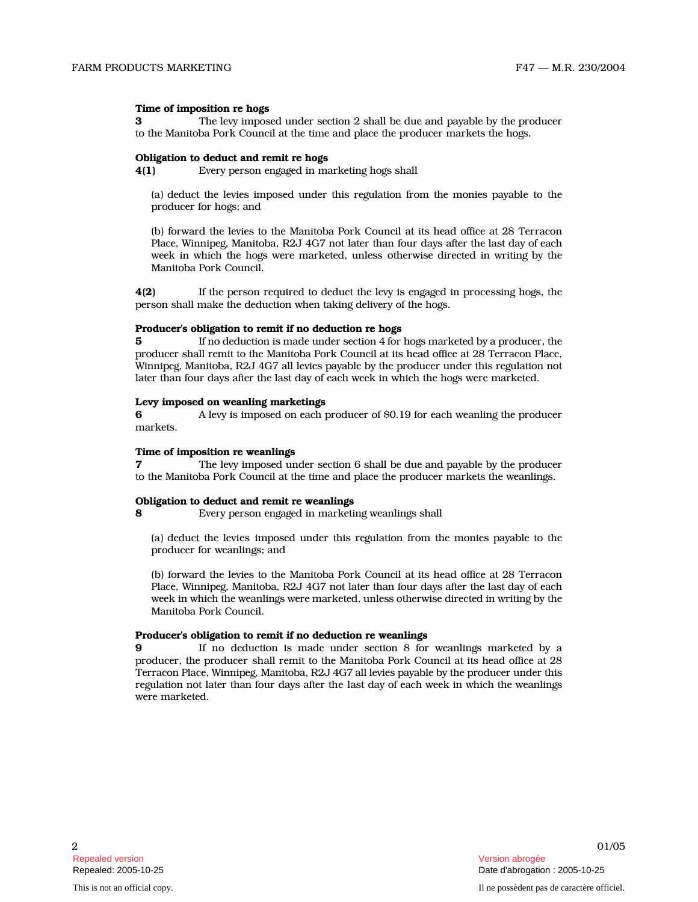## Time of imposition re hogs

3 The levy imposed under section 2 shall be due and payable by the producer to the Manitoba Pork Council at the time and place the producer markets the hogs.

#### Obligation to deduct and remit re hogs

4(1) Every person engaged in marketing hogs shall

(a) deduct the levies imposed under this regulation from the monies payable to the producer for hogs; and

(b) forward the levies to the Manitoba Pork Council at its head office at 28 Terracon Place, Winnipeg, Manitoba, R2J 4G7 not later than four days after the last day of each week in which the hogs were marketed, unless otherwise directed in writing by the Manitoba Pork Council.

4(2) If the person required to deduct the levy is engaged in processing hogs, the person shall make the deduction when taking delivery of the hogs.

# Producer's obligation to remit if no deduction re hogs

5 If no deduction is made under section 4 for hogs marketed by a producer, the producer shall remit to the Manitoba Pork Council at its head office at 28 Terracon Place, Winnipeg, Manitoba, R2J 4G7 all levies payable by the producer under this regulation not later than four days after the last day of each week in which the hogs were marketed.

#### Levy imposed on weanling marketings

6 A levy is imposed on each producer of \$0.19 for each weanling the producer markets.

## Time of imposition re weanlings

7 The levy imposed under section 6 shall be due and payable by the producer to the Manitoba Pork Council at the time and place the producer markets the weanlings.

#### Obligation to deduct and remit re weanlings

8 Every person engaged in marketing weanlings shall

(a) deduct the levies imposed under this regulation from the monies payable to the producer for weanlings; and

(b) forward the levies to the Manitoba Pork Council at its head office at 28 Terracon Place, Winnipeg, Manitoba, R2J 4G7 not later than four days after the last day of each week in which the weanlings were marketed, unless otherwise directed in writing by the Manitoba Pork Council.

## Producer's obligation to remit if no deduction re weanlings

9 If no deduction is made under section 8 for weanlings marketed by a producer, the producer shall remit to the Manitoba Pork Council at its head office at 28 Terracon Place, Winnipeg, Manitoba, R2J 4G7 all levies payable by the producer under this regulation not later than four days after the last day of each week in which the weanlings were marketed.